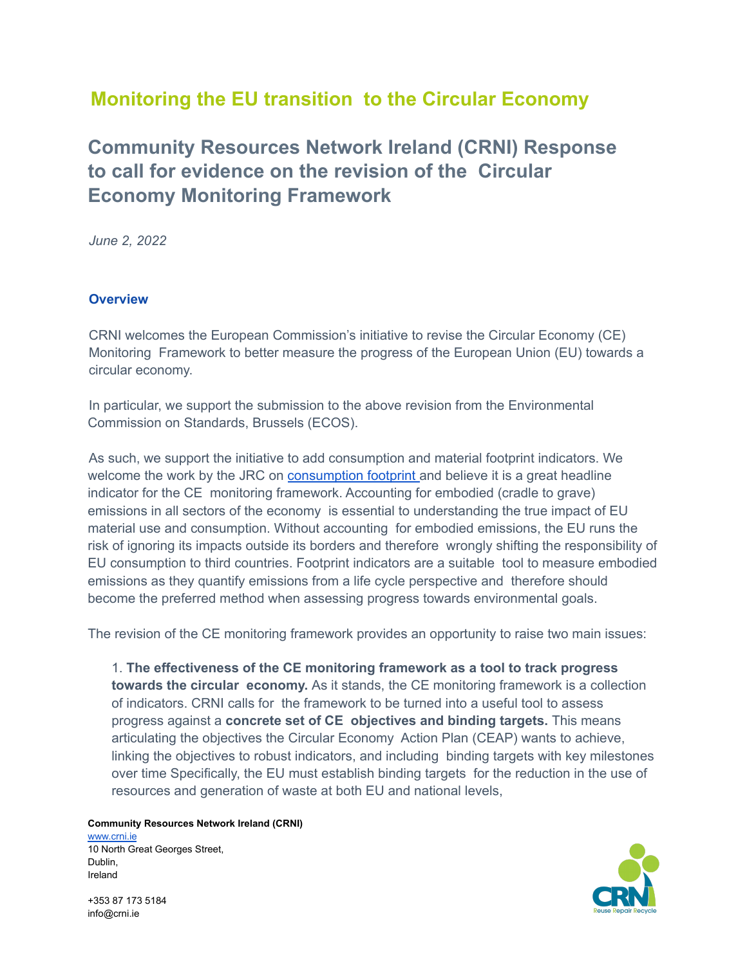# **Monitoring the EU transition to the Circular Economy**

# **Community Resources Network Ireland (CRNI) Response to call for evidence on the revision of the Circular Economy Monitoring Framework**

*June 2, 2022*

## **Overview**

CRNI welcomes the European Commission's initiative to revise the Circular Economy (CE) Monitoring Framework to better measure the progress of the European Union (EU) towards a circular economy.

In particular, we support the submission to the above revision from the Environmental Commission on Standards, Brussels (ECOS).

As such, we support the initiative to add consumption and material footprint indicators. We welcome the work by the JRC on **[consumption](https://eplca.jrc.ec.europa.eu/ConsumptionFootprintPlatform.html) footprint** and believe it is a great headline indicator for the CE monitoring framework. Accounting for embodied (cradle to grave) emissions in all sectors of the economy is essential to understanding the true impact of EU material use and consumption. Without accounting for embodied emissions, the EU runs the risk of ignoring its impacts outside its borders and therefore wrongly shifting the responsibility of EU consumption to third countries. Footprint indicators are a suitable tool to measure embodied emissions as they quantify emissions from a life cycle perspective and therefore should become the preferred method when assessing progress towards environmental goals.

The revision of the CE monitoring framework provides an opportunity to raise two main issues:

1. **The effectiveness of the CE monitoring framework as a tool to track progress towards the circular economy.** As it stands, the CE monitoring framework is a collection of indicators. CRNI calls for the framework to be turned into a useful tool to assess progress against a **concrete set of CE objectives and binding targets.** This means articulating the objectives the Circular Economy Action Plan (CEAP) wants to achieve, linking the objectives to robust indicators, and including binding targets with key milestones over time Specifically, the EU must establish binding targets for the reduction in the use of resources and generation of waste at both EU and national levels,

### **Community Resources Network Ireland (CRNI)**

www.crni.je 10 North Great Georges Street, Dublin, Ireland

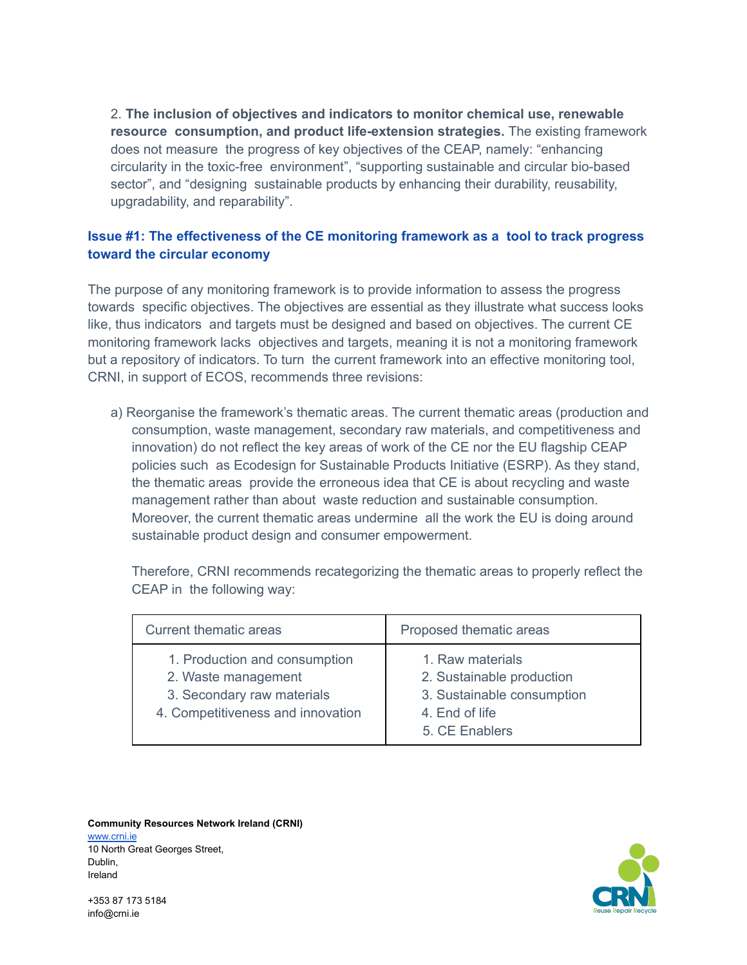2. **The inclusion of objectives and indicators to monitor chemical use, renewable resource consumption, and product life-extension strategies.** The existing framework does not measure the progress of key objectives of the CEAP, namely: "enhancing circularity in the toxic-free environment", "supporting sustainable and circular bio-based sector", and "designing sustainable products by enhancing their durability, reusability, upgradability, and reparability".

## **Issue #1: The effectiveness of the CE monitoring framework as a tool to track progress toward the circular economy**

The purpose of any monitoring framework is to provide information to assess the progress towards specific objectives. The objectives are essential as they illustrate what success looks like, thus indicators and targets must be designed and based on objectives. The current CE monitoring framework lacks objectives and targets, meaning it is not a monitoring framework but a repository of indicators. To turn the current framework into an effective monitoring tool, CRNI, in support of ECOS, recommends three revisions:

a) Reorganise the framework's thematic areas. The current thematic areas (production and consumption, waste management, secondary raw materials, and competitiveness and innovation) do not reflect the key areas of work of the CE nor the EU flagship CEAP policies such as Ecodesign for Sustainable Products Initiative (ESRP). As they stand, the thematic areas provide the erroneous idea that CE is about recycling and waste management rather than about waste reduction and sustainable consumption. Moreover, the current thematic areas undermine all the work the EU is doing around sustainable product design and consumer empowerment.

Therefore, CRNI recommends recategorizing the thematic areas to properly reflect the CEAP in the following way:

| <b>Current thematic areas</b>                                                                                           | Proposed thematic areas                                                                                         |
|-------------------------------------------------------------------------------------------------------------------------|-----------------------------------------------------------------------------------------------------------------|
| 1. Production and consumption<br>2. Waste management<br>3. Secondary raw materials<br>4. Competitiveness and innovation | 1. Raw materials<br>2. Sustainable production<br>3. Sustainable consumption<br>4. End of life<br>5. CE Enablers |

#### **Community Resources Network Ireland (CRNI)** www.crni.je 10 North Great Georges Street, Dublin,



+353 87 173 5184 info@crni.ie

Ireland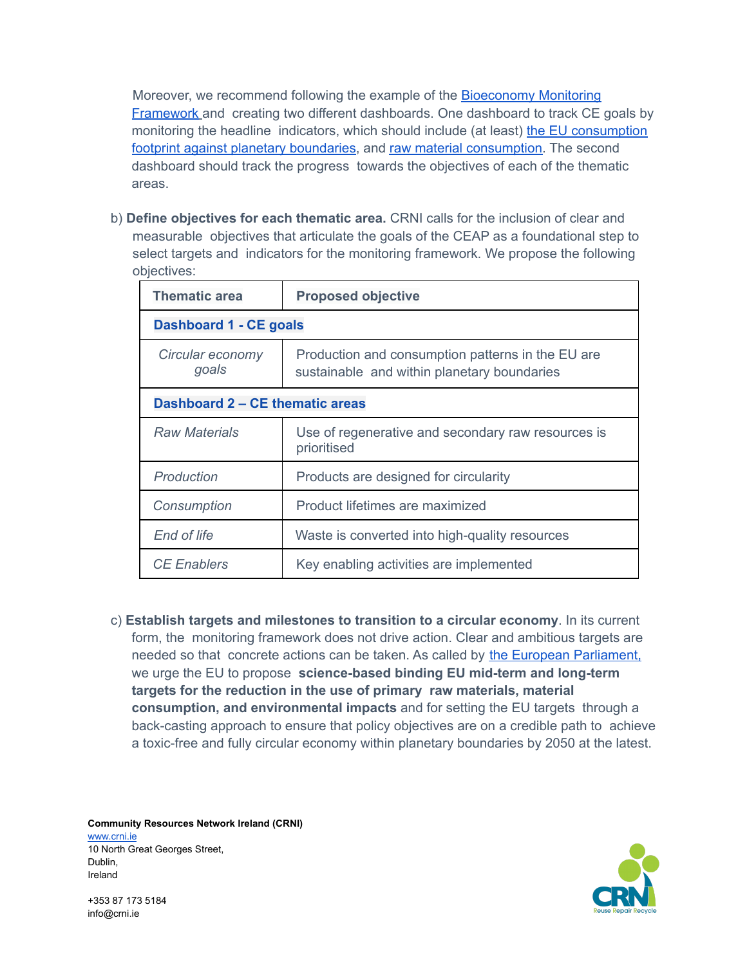Moreover, we recommend following the example of the [Bioeconomy](https://knowledge4policy.ec.europa.eu/bioeconomy/monitoring_en) Monitoring **[Framework](https://knowledge4policy.ec.europa.eu/bioeconomy/monitoring_en) and creating two different dashboards. One dashboard to track CE goals by** monitoring the headline indicators, which should include (at least) the EU [consumption](https://eplca.jrc.ec.europa.eu/ConsumptionFootprintPlatform.html) footprint against planetary [boundaries,](https://eplca.jrc.ec.europa.eu/ConsumptionFootprintPlatform.html) and raw material [consumption.](https://eplca.jrc.ec.europa.eu/ConsumptionFootprintPlatform.html) The second dashboard should track the progress towards the objectives of each of the thematic areas.

b) **Define objectives for each thematic area.** CRNI calls for the inclusion of clear and measurable objectives that articulate the goals of the CEAP as a foundational step to select targets and indicators for the monitoring framework. We propose the following objectives:

| <b>Thematic area</b>            | <b>Proposed objective</b>                                                                        |  |
|---------------------------------|--------------------------------------------------------------------------------------------------|--|
| <b>Dashboard 1 - CE goals</b>   |                                                                                                  |  |
| Circular economy<br>goals       | Production and consumption patterns in the EU are<br>sustainable and within planetary boundaries |  |
| Dashboard 2 – CE thematic areas |                                                                                                  |  |
| <b>Raw Materials</b>            | Use of regenerative and secondary raw resources is<br>prioritised                                |  |
| Production                      | Products are designed for circularity                                                            |  |
| Consumption                     | Product lifetimes are maximized                                                                  |  |
| End of life                     | Waste is converted into high-quality resources                                                   |  |
| <b>CE Enablers</b>              | Key enabling activities are implemented                                                          |  |

c) **Establish targets and milestones to transition to a circular economy**. In its current form, the monitoring framework does not drive action. Clear and ambitious targets are needed so that concrete actions can be taken. As called by the European [Parliament,](https://www.europarl.europa.eu/doceo/document/TA-9-2021-0040_EN.html) we urge the EU to propose **science-based binding EU mid-term and long-term targets for the reduction in the use of primary raw materials, material consumption, and environmental impacts** and for setting the EU targets through a back-casting approach to ensure that policy objectives are on a credible path to achieve a toxic-free and fully circular economy within planetary boundaries by 2050 at the latest.

**Community Resources Network Ireland (CRNI)** [www.crni.ie](http://www.crni.ie) 10 North Great Georges Street, Dublin, Ireland

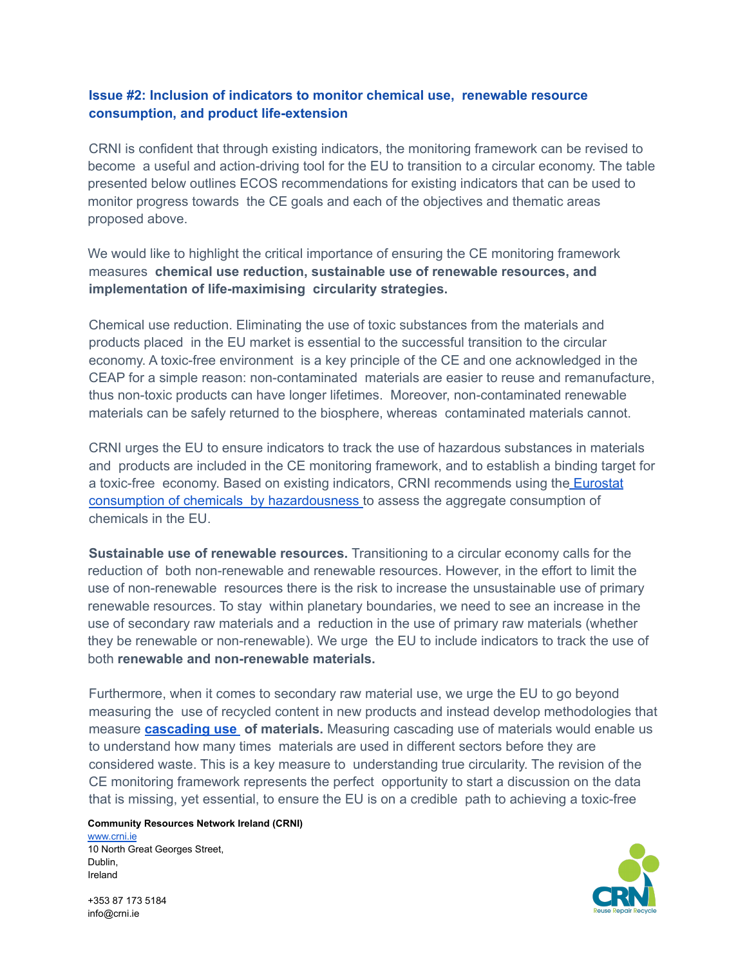### **Issue #2: Inclusion of indicators to monitor chemical use, renewable resource consumption, and product life-extension**

CRNI is confident that through existing indicators, the monitoring framework can be revised to become a useful and action-driving tool for the EU to transition to a circular economy. The table presented below outlines ECOS recommendations for existing indicators that can be used to monitor progress towards the CE goals and each of the objectives and thematic areas proposed above.

We would like to highlight the critical importance of ensuring the CE monitoring framework measures **chemical use reduction, sustainable use of renewable resources, and implementation of life-maximising circularity strategies.**

Chemical use reduction. Eliminating the use of toxic substances from the materials and products placed in the EU market is essential to the successful transition to the circular economy. A toxic-free environment is a key principle of the CE and one acknowledged in the CEAP for a simple reason: non-contaminated materials are easier to reuse and remanufacture, thus non-toxic products can have longer lifetimes. Moreover, non-contaminated renewable materials can be safely returned to the biosphere, whereas contaminated materials cannot.

CRNI urges the EU to ensure indicators to track the use of hazardous substances in materials and products are included in the CE monitoring framework, and to establish a binding target for a toxic-free economy. Based on existing indicators, CRNI recommends using the [Eurostat](https://ec.europa.eu/eurostat/cache/metadata/en/sdg_12_10_esmsip2.htm) consumption of chemicals by [hazardousness](https://ec.europa.eu/eurostat/cache/metadata/en/sdg_12_10_esmsip2.htm) to assess the aggregate consumption of chemicals in the EU.

**Sustainable use of renewable resources.** Transitioning to a circular economy calls for the reduction of both non-renewable and renewable resources. However, in the effort to limit the use of non-renewable resources there is the risk to increase the unsustainable use of primary renewable resources. To stay within planetary boundaries, we need to see an increase in the use of secondary raw materials and a reduction in the use of primary raw materials (whether they be renewable or non-renewable). We urge the EU to include indicators to track the use of both **renewable and non-renewable materials.**

Furthermore, when it comes to secondary raw material use, we urge the EU to go beyond measuring the use of recycled content in new products and instead develop methodologies that measure **[cascading](https://knowledge4policy.ec.europa.eu/glossary-item/cascading-use_en) use of materials.** Measuring cascading use of materials would enable us to understand how many times materials are used in different sectors before they are considered waste. This is a key measure to understanding true circularity. The revision of the CE monitoring framework represents the perfect opportunity to start a discussion on the data that is missing, yet essential, to ensure the EU is on a credible path to achieving a toxic-free

### **Community Resources Network Ireland (CRNI)**

[www.crni.ie](http://www.crni.ie) 10 North Great Georges Street, Dublin, Ireland

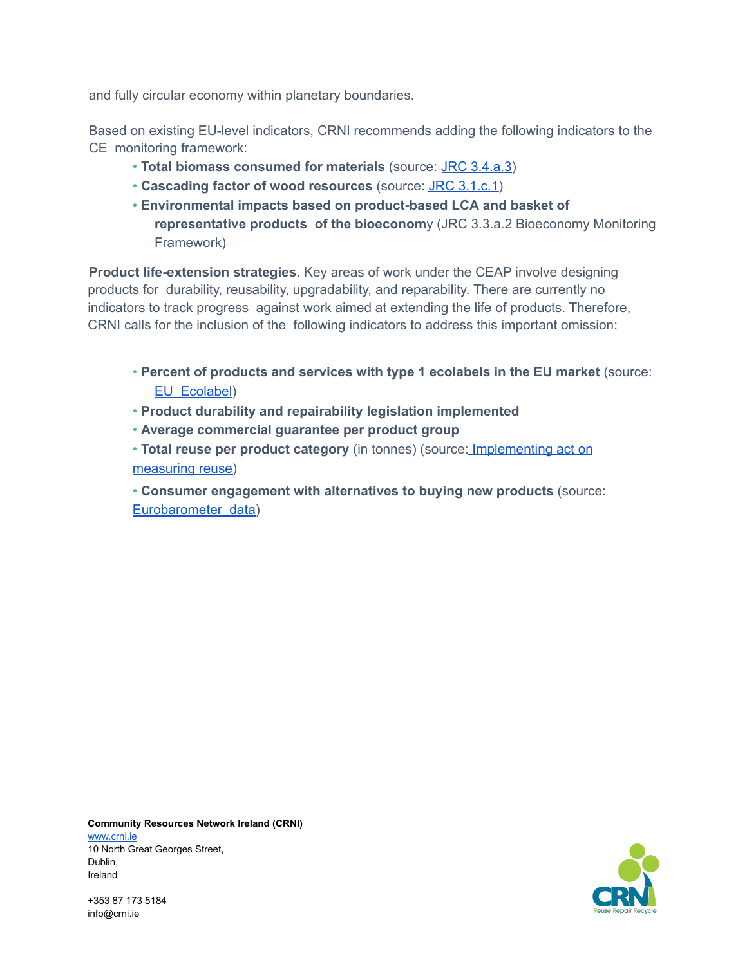and fully circular economy within planetary boundaries.

Based on existing EU-level indicators, CRNI recommends adding the following indicators to the CE monitoring framework:

- **Total biomass consumed for materials** (source: JRC [3.4.a.3\)](https://knowledge4policy.ec.europa.eu/bioeconomy/monitoring_en)
- **Cascading factor of wood resources** (source: JRC [3.1.c.1\)](https://knowledge4policy.ec.europa.eu/bioeconomy/monitoring_en)
- **Environmental impacts based on product-based LCA and basket of representative products of the bioeconom**y (JRC 3.3.a.2 Bioeconomy Monitoring Framework)

**Product life-extension strategies.** Key areas of work under the CEAP involve designing products for durability, reusability, upgradability, and reparability. There are currently no indicators to track progress against work aimed at extending the life of products. Therefore, CRNI calls for the inclusion of the following indicators to address this important omission:

- **Percent of products and services with type 1 ecolabels in the EU market** (source: EU [Ecolabel](https://ec.europa.eu/environment/topics/circular-economy/eu-ecolabel-home/business/ecolabel-facts-and-figures_en))
- **Product durability and repairability legislation implemented**
- **Average commercial guarantee per product group**
- **Total reuse per product category** (in tonnes) (source: [Implementing](https://eur-lex.europa.eu/legal-content/EN/TXT/?uri=uriserv%3AOJ.L_.2021.010.01.0001.01.ENG&toc=OJ%3AL%3A2021%3A010%3ATOC) act on [measuring](https://eur-lex.europa.eu/legal-content/EN/TXT/?uri=uriserv%3AOJ.L_.2021.010.01.0001.01.ENG&toc=OJ%3AL%3A2021%3A010%3ATOC) reuse)

• **Consumer engagement with alternatives to buying new products** (source: [Eurobarometer](file:///C:/Users/Mariana%20Lopez/Downloads/KH0214690ENN.en.pdf) data)

**Community Resources Network Ireland (CRNI)** [www.crni.ie](http://www.crni.ie) 10 North Great Georges Street, Dublin, Ireland